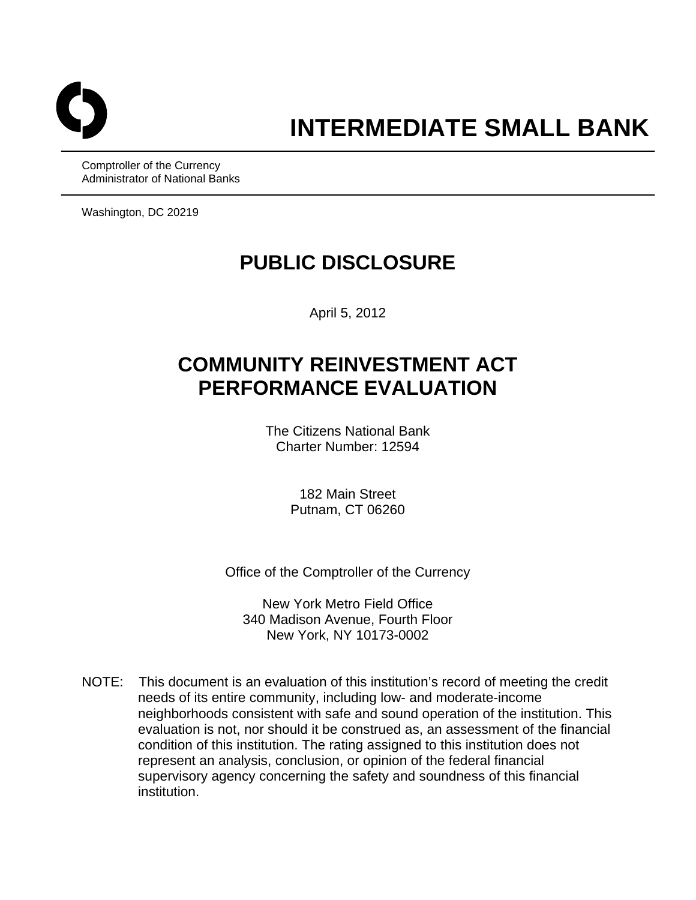

Comptroller of the Currency Administrator of National Banks

Washington, DC 20219

# **PUBLIC DISCLOSURE**

April 5, 2012

# **COMMUNITY REINVESTMENT ACT PERFORMANCE EVALUATION**

The Citizens National Bank Charter Number: 12594

> 182 Main Street Putnam, CT 06260

Office of the Comptroller of the Currency

New York Metro Field Office 340 Madison Avenue, Fourth Floor New York, NY 10173-0002

NOTE: This document is an evaluation of this institution's record of meeting the credit needs of its entire community, including low- and moderate-income neighborhoods consistent with safe and sound operation of the institution. This evaluation is not, nor should it be construed as, an assessment of the financial condition of this institution. The rating assigned to this institution does not represent an analysis, conclusion, or opinion of the federal financial supervisory agency concerning the safety and soundness of this financial institution.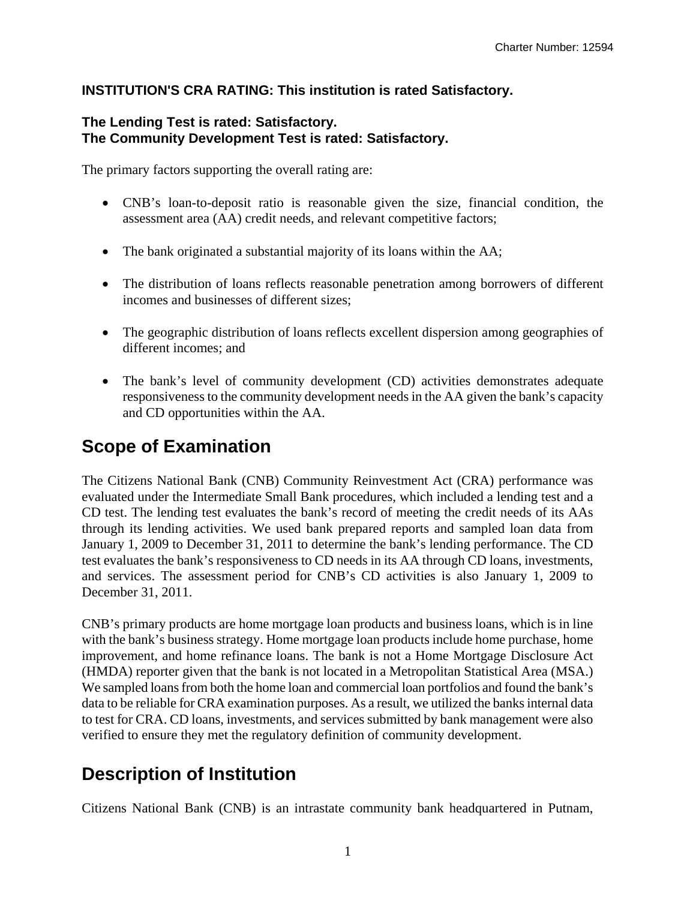## **INSTITUTION'S CRA RATING: This institution is rated Satisfactory.**

#### **The Lending Test is rated: Satisfactory. The Community Development Test is rated: Satisfactory.**

The primary factors supporting the overall rating are:

- CNB's loan-to-deposit ratio is reasonable given the size, financial condition, the assessment area (AA) credit needs, and relevant competitive factors;
- The bank originated a substantial majority of its loans within the AA;
- The distribution of loans reflects reasonable penetration among borrowers of different incomes and businesses of different sizes;
- The geographic distribution of loans reflects excellent dispersion among geographies of different incomes; and
- The bank's level of community development (CD) activities demonstrates adequate responsiveness to the community development needs in the AA given the bank's capacity and CD opportunities within the AA.

# **Scope of Examination**

The Citizens National Bank (CNB) Community Reinvestment Act (CRA) performance was evaluated under the Intermediate Small Bank procedures, which included a lending test and a CD test. The lending test evaluates the bank's record of meeting the credit needs of its AAs through its lending activities. We used bank prepared reports and sampled loan data from January 1, 2009 to December 31, 2011 to determine the bank's lending performance. The CD test evaluates the bank's responsiveness to CD needs in its AA through CD loans, investments, and services. The assessment period for CNB's CD activities is also January 1, 2009 to December 31, 2011.

CNB's primary products are home mortgage loan products and business loans, which is in line with the bank's business strategy. Home mortgage loan products include home purchase, home improvement, and home refinance loans. The bank is not a Home Mortgage Disclosure Act (HMDA) reporter given that the bank is not located in a Metropolitan Statistical Area (MSA.) We sampled loans from both the home loan and commercial loan portfolios and found the bank's data to be reliable for CRA examination purposes. As a result, we utilized the banks internal data to test for CRA. CD loans, investments, and services submitted by bank management were also verified to ensure they met the regulatory definition of community development.

# **Description of Institution**

Citizens National Bank (CNB) is an intrastate community bank headquartered in Putnam,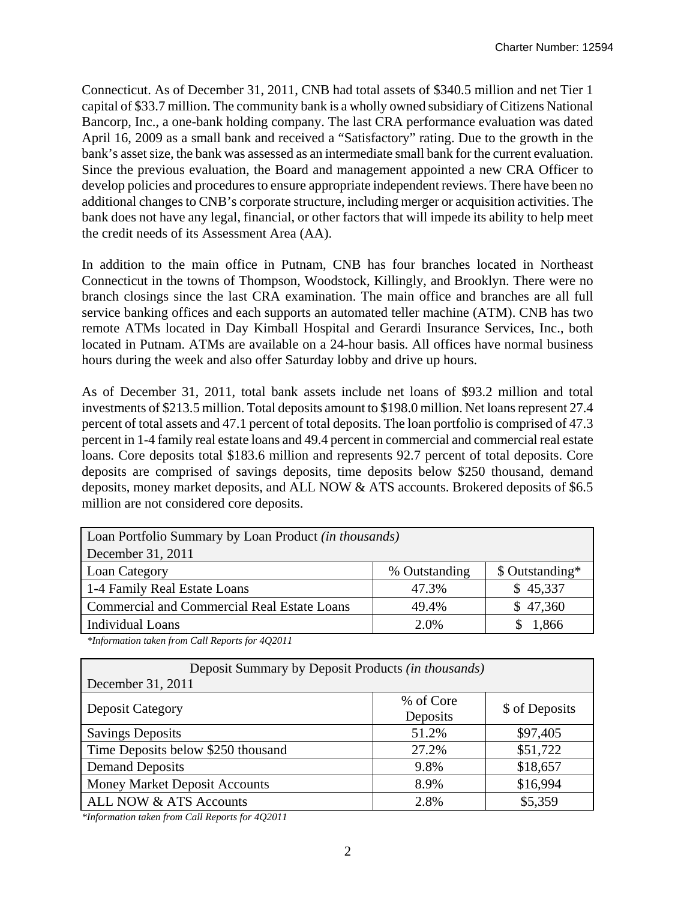Connecticut. As of December 31, 2011, CNB had total assets of \$340.5 million and net Tier 1 capital of \$33.7 million. The community bank is a wholly owned subsidiary of Citizens National Bancorp, Inc., a one-bank holding company. The last CRA performance evaluation was dated April 16, 2009 as a small bank and received a "Satisfactory" rating. Due to the growth in the bank's asset size, the bank was assessed as an intermediate small bank for the current evaluation. Since the previous evaluation, the Board and management appointed a new CRA Officer to develop policies and procedures to ensure appropriate independent reviews. There have been no additional changes to CNB's corporate structure, including merger or acquisition activities. The bank does not have any legal, financial, or other factors that will impede its ability to help meet the credit needs of its Assessment Area (AA).

In addition to the main office in Putnam, CNB has four branches located in Northeast Connecticut in the towns of Thompson, Woodstock, Killingly, and Brooklyn. There were no branch closings since the last CRA examination. The main office and branches are all full service banking offices and each supports an automated teller machine (ATM). CNB has two remote ATMs located in Day Kimball Hospital and Gerardi Insurance Services, Inc., both located in Putnam. ATMs are available on a 24-hour basis. All offices have normal business hours during the week and also offer Saturday lobby and drive up hours.

As of December 31, 2011, total bank assets include net loans of \$93.2 million and total investments of \$213.5 million. Total deposits amount to \$198.0 million. Net loans represent 27.4 percent of total assets and 47.1 percent of total deposits. The loan portfolio is comprised of 47.3 percent in 1-4 family real estate loans and 49.4 percent in commercial and commercial real estate loans. Core deposits total \$183.6 million and represents 92.7 percent of total deposits. Core deposits are comprised of savings deposits, time deposits below \$250 thousand, demand deposits, money market deposits, and ALL NOW & ATS accounts. Brokered deposits of \$6.5 million are not considered core deposits.

| Loan Portfolio Summary by Loan Product (in thousands) |               |                 |  |  |  |  |  |  |
|-------------------------------------------------------|---------------|-----------------|--|--|--|--|--|--|
| December 31, 2011                                     |               |                 |  |  |  |  |  |  |
| Loan Category                                         | % Outstanding | \$ Outstanding* |  |  |  |  |  |  |
| 1-4 Family Real Estate Loans                          | 47.3%         | \$45,337        |  |  |  |  |  |  |
| <b>Commercial and Commercial Real Estate Loans</b>    | 49.4%         | \$47,360        |  |  |  |  |  |  |
| <b>Individual Loans</b>                               | 2.0%          | 1,866           |  |  |  |  |  |  |

*\*Information taken from Call Reports for 4Q2011* 

| Deposit Summary by Deposit Products <i>(in thousands)</i> |           |                |  |  |  |  |  |  |  |
|-----------------------------------------------------------|-----------|----------------|--|--|--|--|--|--|--|
| December 31, 2011                                         |           |                |  |  |  |  |  |  |  |
|                                                           | % of Core |                |  |  |  |  |  |  |  |
| <b>Deposit Category</b>                                   | Deposits  | \$ of Deposits |  |  |  |  |  |  |  |
| <b>Savings Deposits</b>                                   | 51.2%     | \$97,405       |  |  |  |  |  |  |  |
| Time Deposits below \$250 thousand                        | 27.2%     | \$51,722       |  |  |  |  |  |  |  |
| <b>Demand Deposits</b>                                    | 9.8%      | \$18,657       |  |  |  |  |  |  |  |
| <b>Money Market Deposit Accounts</b>                      | 8.9%      | \$16,994       |  |  |  |  |  |  |  |
| ALL NOW & ATS Accounts                                    | 2.8%      | \$5,359        |  |  |  |  |  |  |  |

*\*Information taken from Call Reports for 4Q2011*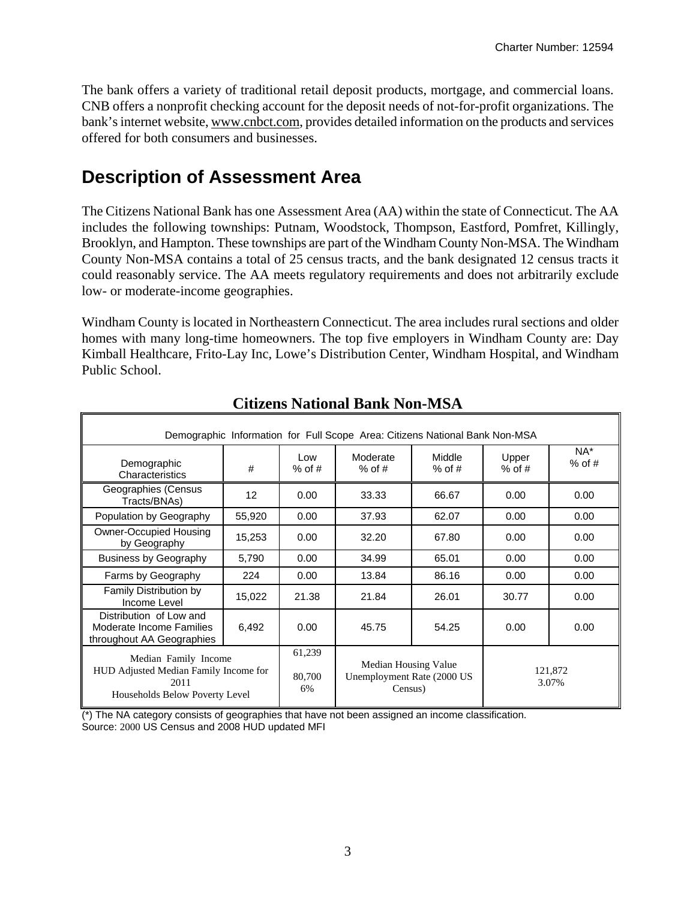The bank offers a variety of traditional retail deposit products, mortgage, and commercial loans. CNB offers a nonprofit checking account for the deposit needs of not-for-profit organizations. The bank's internet website, www.cnbct.com, provides detailed information on the products and services offered for both consumers and businesses.

# **Description of Assessment Area**

The Citizens National Bank has one Assessment Area (AA) within the state of Connecticut. The AA includes the following townships: Putnam, Woodstock, Thompson, Eastford, Pomfret, Killingly, Brooklyn, and Hampton. These townships are part of the Windham County Non-MSA. The Windham County Non-MSA contains a total of 25 census tracts, and the bank designated 12 census tracts it could reasonably service. The AA meets regulatory requirements and does not arbitrarily exclude low- or moderate-income geographies.

Windham County is located in Northeastern Connecticut. The area includes rural sections and older homes with many long-time homeowners. The top five employers in Windham County are: Day Kimball Healthcare, Frito-Lay Inc, Lowe's Distribution Center, Windham Hospital, and Windham Public School.

| Demographic Information for Full Scope Area: Citizens National Bank Non-MSA                             |        |                        |                                                               |                    |                   |                    |  |  |  |
|---------------------------------------------------------------------------------------------------------|--------|------------------------|---------------------------------------------------------------|--------------------|-------------------|--------------------|--|--|--|
| Demographic<br>Characteristics                                                                          | #      | Low.<br>$%$ of #       | Moderate<br>$%$ of #                                          | Middle<br>$%$ of # | Upper<br>$%$ of # | $NA^*$<br>$%$ of # |  |  |  |
| Geographies (Census<br>Tracts/BNAs)                                                                     | 12     | 0.00                   | 33.33                                                         | 66.67              | 0.00              | 0.00               |  |  |  |
| Population by Geography                                                                                 | 55,920 | 0.00                   | 37.93                                                         | 62.07              | 0.00              | 0.00               |  |  |  |
| Owner-Occupied Housing<br>by Geography                                                                  | 15,253 | 0.00                   | 32.20                                                         | 67.80              | 0.00              | 0.00               |  |  |  |
| <b>Business by Geography</b>                                                                            | 5,790  | 0.00                   | 34.99                                                         | 65.01              | 0.00              | 0.00               |  |  |  |
| Farms by Geography                                                                                      | 224    | 0.00                   | 13.84                                                         | 86.16              | 0.00              | 0.00               |  |  |  |
| Family Distribution by<br>Income Level                                                                  | 15,022 | 21.38                  | 21.84                                                         | 26.01              | 30.77             | 0.00               |  |  |  |
| Distribution of Low and<br>Moderate Income Families<br>throughout AA Geographies                        | 6,492  | 0.00                   | 45.75                                                         | 54.25              | 0.00              | 0.00               |  |  |  |
| Median Family Income<br>HUD Adjusted Median Family Income for<br>2011<br>Households Below Poverty Level |        | 61,239<br>80,700<br>6% | Median Housing Value<br>Unemployment Rate (2000 US<br>Census) |                    | 121,872<br>3.07%  |                    |  |  |  |

# **Citizens National Bank Non-MSA**

(\*) The NA category consists of geographies that have not been assigned an income classification. Source: 2000 US Census and 2008 HUD updated MFI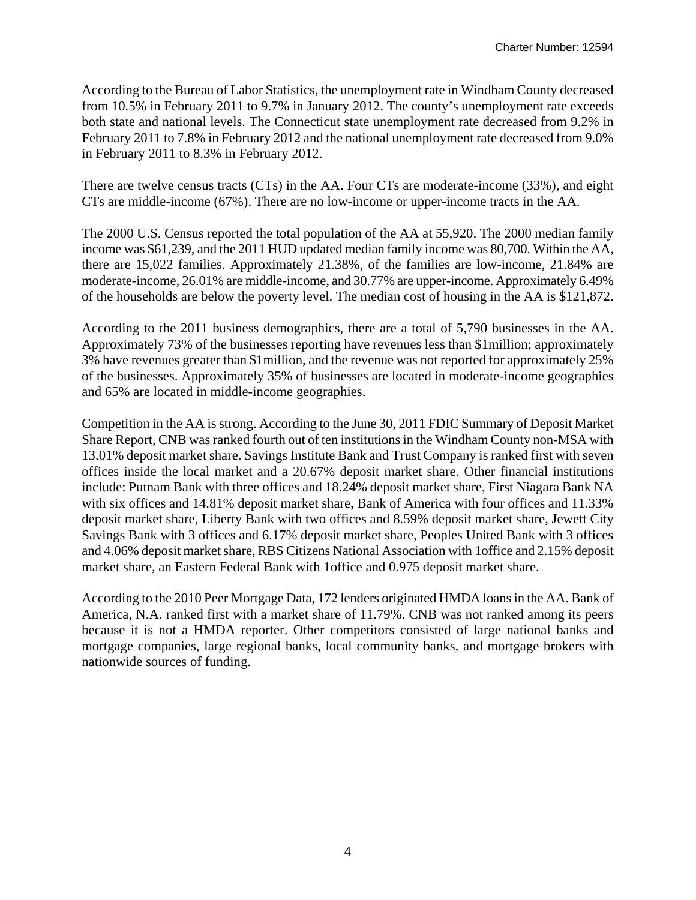According to the Bureau of Labor Statistics, the unemployment rate in Windham County decreased from 10.5% in February 2011 to 9.7% in January 2012. The county's unemployment rate exceeds both state and national levels. The Connecticut state unemployment rate decreased from 9.2% in February 2011 to 7.8% in February 2012 and the national unemployment rate decreased from 9.0% in February 2011 to 8.3% in February 2012.

There are twelve census tracts (CTs) in the AA. Four CTs are moderate-income (33%), and eight CTs are middle-income (67%). There are no low-income or upper-income tracts in the AA.

The 2000 U.S. Census reported the total population of the AA at 55,920. The 2000 median family income was \$61,239, and the 2011 HUD updated median family income was 80,700. Within the AA, there are 15,022 families. Approximately 21.38%, of the families are low-income, 21.84% are moderate-income, 26.01% are middle-income, and 30.77% are upper-income. Approximately 6.49% of the households are below the poverty level. The median cost of housing in the AA is \$121,872.

According to the 2011 business demographics, there are a total of 5,790 businesses in the AA. Approximately 73% of the businesses reporting have revenues less than \$1million; approximately 3% have revenues greater than \$1million, and the revenue was not reported for approximately 25% of the businesses. Approximately 35% of businesses are located in moderate-income geographies and 65% are located in middle-income geographies.

Competition in the AA is strong. According to the June 30, 2011 FDIC Summary of Deposit Market Share Report, CNB was ranked fourth out of ten institutions in the Windham County non-MSA with 13.01% deposit market share. Savings Institute Bank and Trust Company is ranked first with seven offices inside the local market and a 20.67% deposit market share. Other financial institutions include: Putnam Bank with three offices and 18.24% deposit market share, First Niagara Bank NA with six offices and 14.81% deposit market share, Bank of America with four offices and 11.33% deposit market share, Liberty Bank with two offices and 8.59% deposit market share, Jewett City Savings Bank with 3 offices and 6.17% deposit market share, Peoples United Bank with 3 offices and 4.06% deposit market share, RBS Citizens National Association with 1office and 2.15% deposit market share, an Eastern Federal Bank with 1office and 0.975 deposit market share.

According to the 2010 Peer Mortgage Data, 172 lenders originated HMDA loans in the AA. Bank of America, N.A. ranked first with a market share of 11.79%. CNB was not ranked among its peers because it is not a HMDA reporter. Other competitors consisted of large national banks and mortgage companies, large regional banks, local community banks, and mortgage brokers with nationwide sources of funding.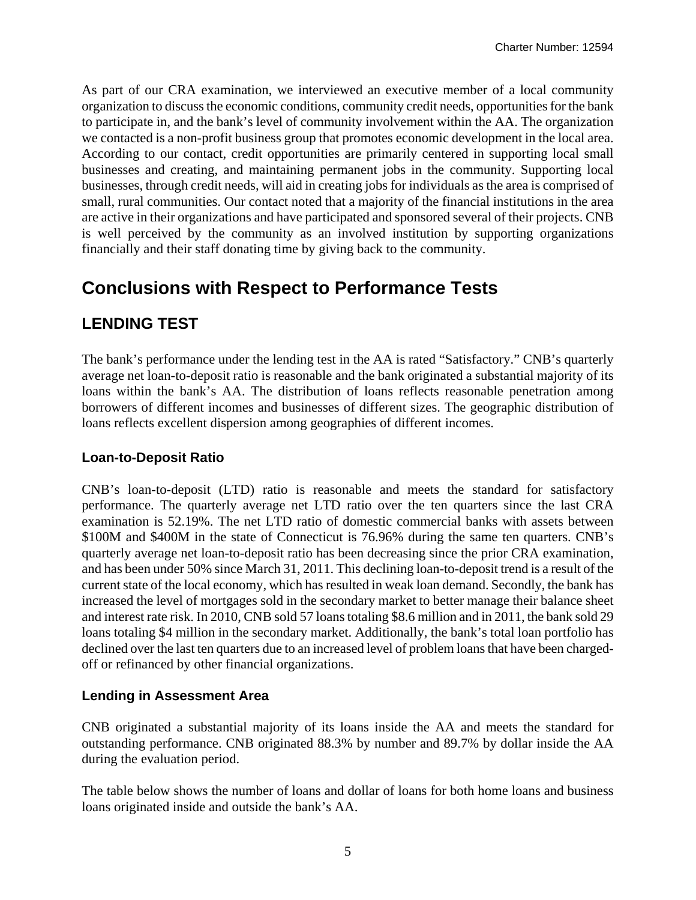As part of our CRA examination, we interviewed an executive member of a local community organization to discuss the economic conditions, community credit needs, opportunities for the bank to participate in, and the bank's level of community involvement within the AA. The organization we contacted is a non-profit business group that promotes economic development in the local area. According to our contact, credit opportunities are primarily centered in supporting local small businesses and creating, and maintaining permanent jobs in the community. Supporting local businesses, through credit needs, will aid in creating jobs for individuals as the area is comprised of small, rural communities. Our contact noted that a majority of the financial institutions in the area are active in their organizations and have participated and sponsored several of their projects. CNB is well perceived by the community as an involved institution by supporting organizations financially and their staff donating time by giving back to the community.

# **Conclusions with Respect to Performance Tests**

# **LENDING TEST**

The bank's performance under the lending test in the AA is rated "Satisfactory." CNB's quarterly average net loan-to-deposit ratio is reasonable and the bank originated a substantial majority of its loans within the bank's AA. The distribution of loans reflects reasonable penetration among borrowers of different incomes and businesses of different sizes. The geographic distribution of loans reflects excellent dispersion among geographies of different incomes.

## **Loan-to-Deposit Ratio**

CNB's loan-to-deposit (LTD) ratio is reasonable and meets the standard for satisfactory performance. The quarterly average net LTD ratio over the ten quarters since the last CRA examination is 52.19%. The net LTD ratio of domestic commercial banks with assets between \$100M and \$400M in the state of Connecticut is 76.96% during the same ten quarters. CNB's quarterly average net loan-to-deposit ratio has been decreasing since the prior CRA examination, and has been under 50% since March 31, 2011. This declining loan-to-deposit trend is a result of the current state of the local economy, which has resulted in weak loan demand. Secondly, the bank has increased the level of mortgages sold in the secondary market to better manage their balance sheet and interest rate risk. In 2010, CNB sold 57 loans totaling \$8.6 million and in 2011, the bank sold 29 loans totaling \$4 million in the secondary market. Additionally, the bank's total loan portfolio has declined over the last ten quarters due to an increased level of problem loans that have been chargedoff or refinanced by other financial organizations.

## **Lending in Assessment Area**

CNB originated a substantial majority of its loans inside the AA and meets the standard for outstanding performance. CNB originated 88.3% by number and 89.7% by dollar inside the AA during the evaluation period.

The table below shows the number of loans and dollar of loans for both home loans and business loans originated inside and outside the bank's AA.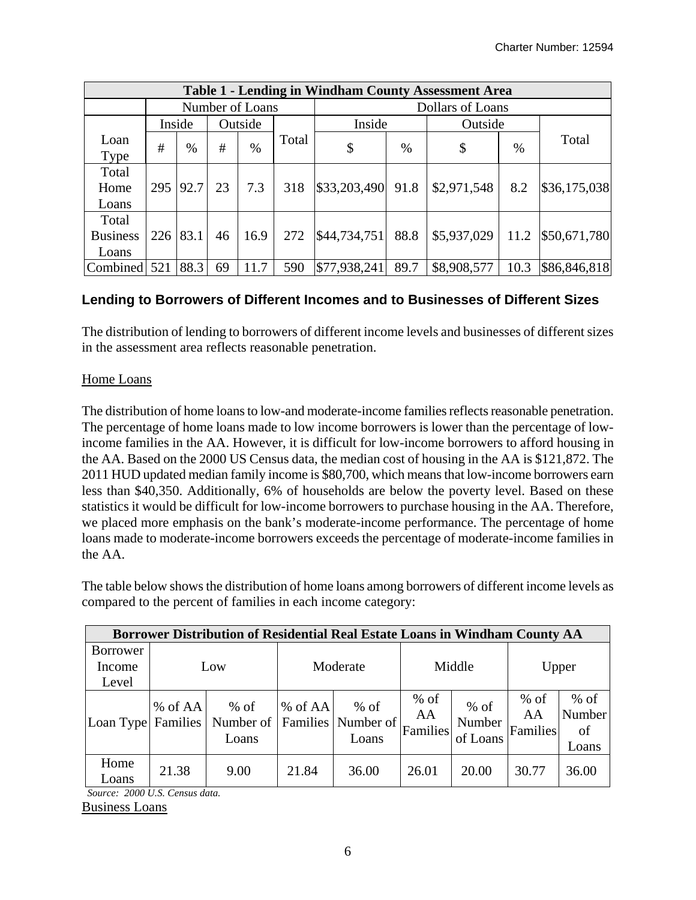|                 | <b>Table 1 - Lending in Windham County Assessment Area</b> |        |    |         |       |              |                  |             |      |              |  |
|-----------------|------------------------------------------------------------|--------|----|---------|-------|--------------|------------------|-------------|------|--------------|--|
|                 | Number of Loans                                            |        |    |         |       |              | Dollars of Loans |             |      |              |  |
|                 |                                                            | Inside |    | Outside |       | Inside       |                  | Outside     |      |              |  |
| Loan            | #                                                          | $\%$   | #  | $\%$    | Total |              | $\%$             | \$          |      | Total        |  |
| <b>Type</b>     |                                                            |        |    |         |       | \$           |                  |             | $\%$ |              |  |
| Total           |                                                            |        |    |         |       |              |                  |             |      |              |  |
| Home            | 295                                                        | 92.7   | 23 | 7.3     | 318   | \$33,203,490 | 91.8             | \$2,971,548 | 8.2  | \$36,175,038 |  |
| Loans           |                                                            |        |    |         |       |              |                  |             |      |              |  |
| Total           |                                                            |        |    |         |       |              |                  |             |      |              |  |
| <b>Business</b> | 226                                                        | 83.1   | 46 | 16.9    | 272   | \$44,734,751 | 88.8             | \$5,937,029 | 11.2 | \$50,671,780 |  |
| Loans           |                                                            |        |    |         |       |              |                  |             |      |              |  |
| Combined        | 521                                                        | 88.3   | 69 | 11.7    | 590   | \$77,938,241 | 89.7             | \$8,908,577 | 10.3 | \$86,846,818 |  |

## **Lending to Borrowers of Different Incomes and to Businesses of Different Sizes**

The distribution of lending to borrowers of different income levels and businesses of different sizes in the assessment area reflects reasonable penetration.

#### Home Loans

The distribution of home loans to low-and moderate-income families reflects reasonable penetration. The percentage of home loans made to low income borrowers is lower than the percentage of lowincome families in the AA. However, it is difficult for low-income borrowers to afford housing in the AA. Based on the 2000 US Census data, the median cost of housing in the AA is \$121,872. The 2011 HUD updated median family income is \$80,700, which means that low-income borrowers earn less than \$40,350. Additionally, 6% of households are below the poverty level. Based on these statistics it would be difficult for low-income borrowers to purchase housing in the AA. Therefore, we placed more emphasis on the bank's moderate-income performance. The percentage of home loans made to moderate-income borrowers exceeds the percentage of moderate-income families in the AA.

The table below shows the distribution of home loans among borrowers of different income levels as compared to the percent of families in each income category:

|                    | Borrower Distribution of Residential Real Estate Loans in Windham County AA |                                                       |           |                 |                          |                              |                          |                                 |  |  |
|--------------------|-----------------------------------------------------------------------------|-------------------------------------------------------|-----------|-----------------|--------------------------|------------------------------|--------------------------|---------------------------------|--|--|
| <b>Borrower</b>    |                                                                             |                                                       |           |                 |                          |                              |                          |                                 |  |  |
| Income             | Low                                                                         |                                                       | Moderate  |                 | Middle                   |                              | Upper                    |                                 |  |  |
| Level              |                                                                             |                                                       |           |                 |                          |                              |                          |                                 |  |  |
| Loan Type Families | $%$ of AA                                                                   | $%$ of<br>Number of   Families   Number of  <br>Loans | $%$ of AA | $%$ of<br>Loans | $%$ of<br>AA<br>Families | $%$ of<br>Number<br>of Loans | $%$ of<br>AA<br>Families | $%$ of<br>Number<br>of<br>Loans |  |  |
| Home<br>Loans      | 21.38                                                                       | 9.00                                                  | 21.84     | 36.00           | 26.01                    | 20.00                        | 30.77                    | 36.00                           |  |  |

*Source: 2000 U.S. Census data.*  Business Loans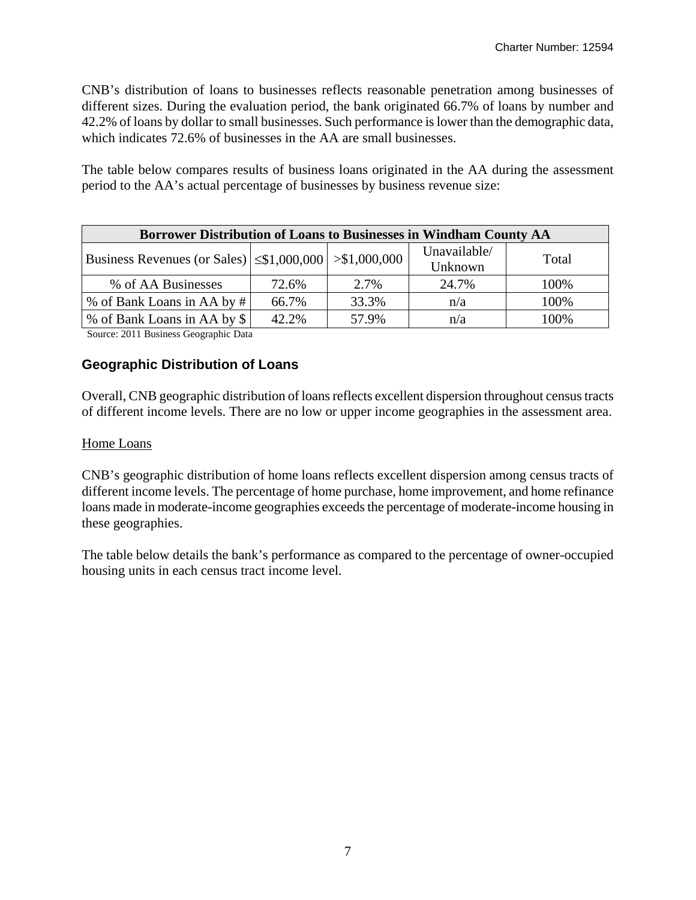CNB's distribution of loans to businesses reflects reasonable penetration among businesses of different sizes. During the evaluation period, the bank originated 66.7% of loans by number and 42.2% of loans by dollar to small businesses. Such performance is lower than the demographic data, which indicates 72.6% of businesses in the AA are small businesses.

The table below compares results of business loans originated in the AA during the assessment period to the AA's actual percentage of businesses by business revenue size:

| Borrower Distribution of Loans to Businesses in Windham County AA |       |       |                         |       |  |  |  |  |  |
|-------------------------------------------------------------------|-------|-------|-------------------------|-------|--|--|--|--|--|
| Business Revenues (or Sales) $ \leq$ \$1,000,000 $ $ >\$1,000,000 |       |       | Unavailable/<br>Unknown | Total |  |  |  |  |  |
| % of AA Businesses                                                | 72.6% | 2.7%  | 24.7%                   | 100%  |  |  |  |  |  |
| % of Bank Loans in AA by #                                        | 66.7% | 33.3% | n/a                     | 100%  |  |  |  |  |  |
| % of Bank Loans in AA by \$                                       | 42.2% | 57.9% | n/a                     | 100%  |  |  |  |  |  |

Source: 2011 Business Geographic Data

### **Geographic Distribution of Loans**

Overall, CNB geographic distribution of loans reflects excellent dispersion throughout census tracts of different income levels. There are no low or upper income geographies in the assessment area.

#### Home Loans

CNB's geographic distribution of home loans reflects excellent dispersion among census tracts of different income levels. The percentage of home purchase, home improvement, and home refinance loans made in moderate-income geographies exceeds the percentage of moderate-income housing in these geographies.

The table below details the bank's performance as compared to the percentage of owner-occupied housing units in each census tract income level.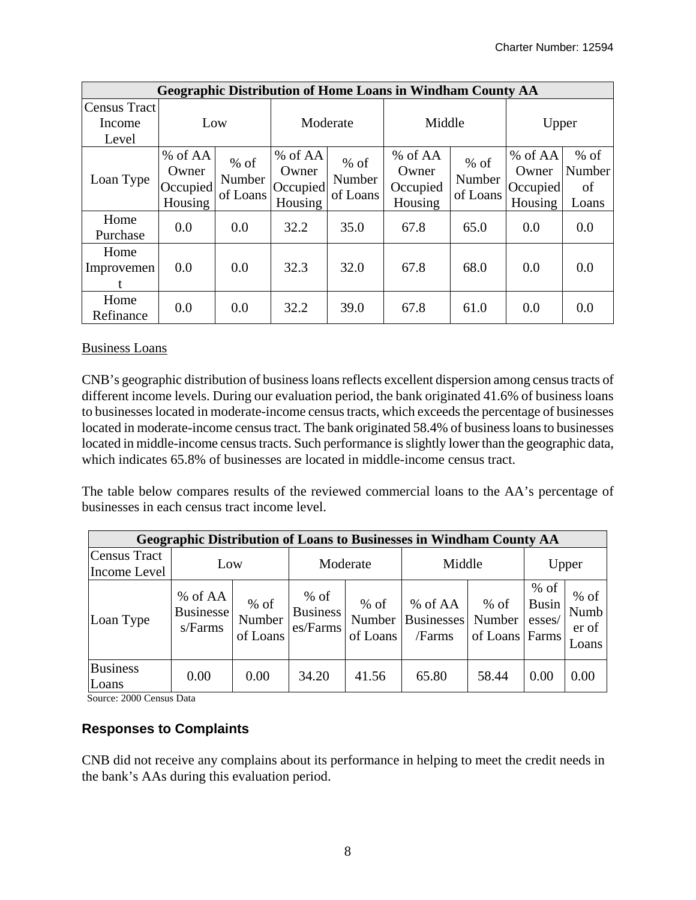|                        | <b>Geographic Distribution of Home Loans in Windham County AA</b> |                              |                                         |                              |                                           |                              |                                         |                                 |  |  |  |
|------------------------|-------------------------------------------------------------------|------------------------------|-----------------------------------------|------------------------------|-------------------------------------------|------------------------------|-----------------------------------------|---------------------------------|--|--|--|
| Census Tract<br>Income | Low                                                               |                              | Moderate                                |                              | Middle                                    |                              | Upper                                   |                                 |  |  |  |
| Level                  |                                                                   |                              |                                         |                              |                                           |                              |                                         |                                 |  |  |  |
| Loan Type              | % of AA<br>Owner<br>Occupied<br>Housing                           | $%$ of<br>Number<br>of Loans | % of AA<br>Owner<br>Occupied<br>Housing | $%$ of<br>Number<br>of Loans | $%$ of AA<br>Owner<br>Occupied<br>Housing | $%$ of<br>Number<br>of Loans | % of AA<br>Owner<br>Occupied<br>Housing | $%$ of<br>Number<br>of<br>Loans |  |  |  |
| Home<br>Purchase       | 0.0                                                               | 0.0                          | 32.2                                    | 35.0                         | 67.8                                      | 65.0                         | 0.0                                     | 0.0                             |  |  |  |
| Home<br>Improvemen     | 0.0                                                               | 0.0                          | 32.3                                    | 32.0                         | 67.8                                      | 68.0                         | 0.0                                     | 0.0                             |  |  |  |
| Home<br>Refinance      | 0.0                                                               | 0.0                          | 32.2                                    | 39.0                         | 67.8                                      | 61.0                         | 0.0                                     | 0.0                             |  |  |  |

#### Business Loans

CNB's geographic distribution of business loans reflects excellent dispersion among census tracts of different income levels. During our evaluation period, the bank originated 41.6% of business loans to businesses located in moderate-income census tracts, which exceeds the percentage of businesses located in moderate-income census tract. The bank originated 58.4% of business loans to businesses located in middle-income census tracts. Such performance is slightly lower than the geographic data, which indicates 65.8% of businesses are located in middle-income census tract.

The table below compares results of the reviewed commercial loans to the AA's percentage of businesses in each census tract income level.

| <b>Geographic Distribution of Loans to Businesses in Windham County AA</b> |                                        |                              |                                       |                              |                                        |                              |                                           |                                  |  |
|----------------------------------------------------------------------------|----------------------------------------|------------------------------|---------------------------------------|------------------------------|----------------------------------------|------------------------------|-------------------------------------------|----------------------------------|--|
| Census Tract<br>Income Level                                               | Low                                    |                              | Moderate                              |                              | Middle                                 | Upper                        |                                           |                                  |  |
| Loan Type                                                                  | % of AA<br><b>Businesse</b><br>s/Farms | $%$ of<br>Number<br>of Loans | $%$ of<br><b>Business</b><br>es/Farms | $%$ of<br>Number<br>of Loans | % of AA<br><b>Businesses</b><br>/Farms | $%$ of<br>Number<br>of Loans | $%$ of<br><b>Busin</b><br>esses/<br>Farms | $%$ of<br>Numb<br>er of<br>Loans |  |
| <b>Business</b><br>Loans                                                   | 0.00                                   | 0.00                         | 34.20                                 | 41.56                        | 65.80                                  | 58.44                        | 0.00                                      | 0.00                             |  |

Source: 2000 Census Data

### **Responses to Complaints**

CNB did not receive any complains about its performance in helping to meet the credit needs in the bank's AAs during this evaluation period.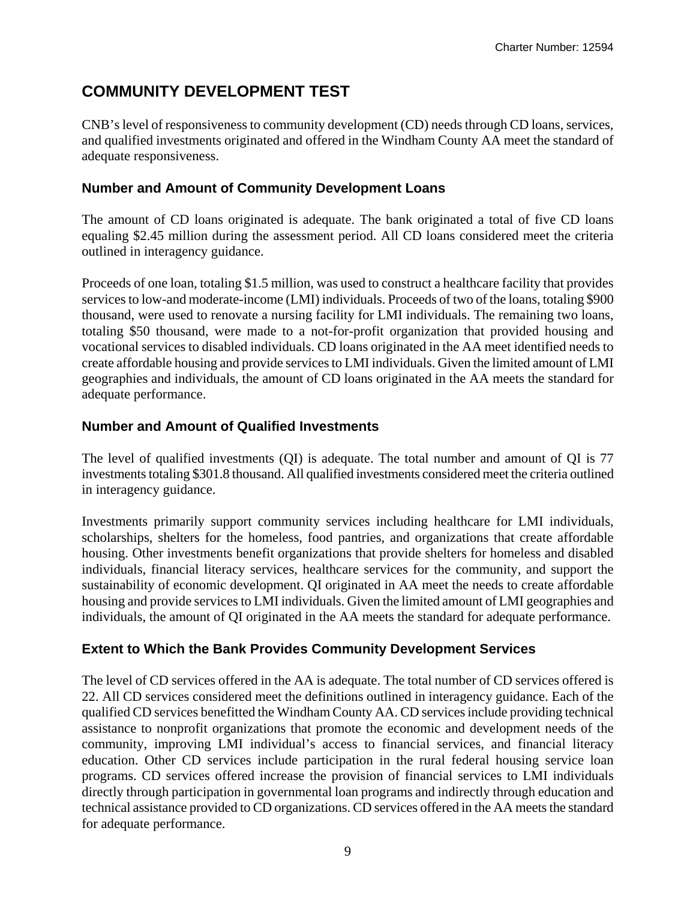# **COMMUNITY DEVELOPMENT TEST**

CNB's level of responsiveness to community development (CD) needs through CD loans, services, and qualified investments originated and offered in the Windham County AA meet the standard of adequate responsiveness.

#### **Number and Amount of Community Development Loans**

The amount of CD loans originated is adequate. The bank originated a total of five CD loans equaling \$2.45 million during the assessment period. All CD loans considered meet the criteria outlined in interagency guidance.

Proceeds of one loan, totaling \$1.5 million, was used to construct a healthcare facility that provides services to low-and moderate-income (LMI) individuals. Proceeds of two of the loans, totaling \$900 thousand, were used to renovate a nursing facility for LMI individuals. The remaining two loans, totaling \$50 thousand, were made to a not-for-profit organization that provided housing and vocational services to disabled individuals. CD loans originated in the AA meet identified needs to create affordable housing and provide services to LMI individuals. Given the limited amount of LMI geographies and individuals, the amount of CD loans originated in the AA meets the standard for adequate performance.

### **Number and Amount of Qualified Investments**

The level of qualified investments (QI) is adequate. The total number and amount of QI is 77 investments totaling \$301.8 thousand. All qualified investments considered meet the criteria outlined in interagency guidance.

Investments primarily support community services including healthcare for LMI individuals, scholarships, shelters for the homeless, food pantries, and organizations that create affordable housing. Other investments benefit organizations that provide shelters for homeless and disabled individuals, financial literacy services, healthcare services for the community, and support the sustainability of economic development. QI originated in AA meet the needs to create affordable housing and provide services to LMI individuals. Given the limited amount of LMI geographies and individuals, the amount of QI originated in the AA meets the standard for adequate performance.

### **Extent to Which the Bank Provides Community Development Services**

The level of CD services offered in the AA is adequate. The total number of CD services offered is 22. All CD services considered meet the definitions outlined in interagency guidance. Each of the qualified CD services benefitted the Windham County AA. CD services include providing technical assistance to nonprofit organizations that promote the economic and development needs of the community, improving LMI individual's access to financial services, and financial literacy education. Other CD services include participation in the rural federal housing service loan programs. CD services offered increase the provision of financial services to LMI individuals directly through participation in governmental loan programs and indirectly through education and technical assistance provided to CD organizations. CD services offered in the AA meets the standard for adequate performance.